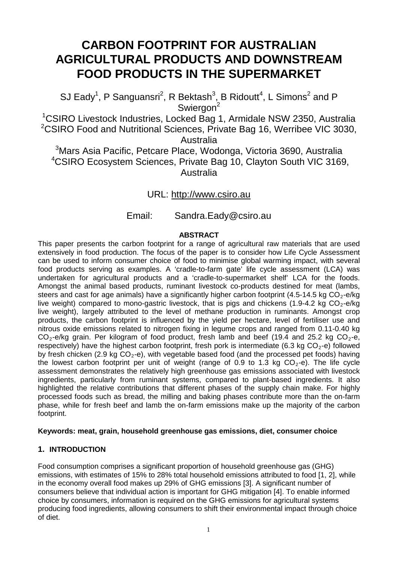# **CARBON FOOTPRINT FOR AUSTRALIAN AGRICULTURAL PRODUCTS AND DOWNSTREAM FOOD PRODUCTS IN THE SUPERMARKET**

SJ Eady<sup>1</sup>, P Sanguansri<sup>2</sup>, R Bektash<sup>3</sup>, B Ridoutt<sup>4</sup>, L Simons<sup>2</sup> and P Swiergon<sup>2</sup>

1 CSIRO Livestock Industries, Locked Bag 1, Armidale NSW 2350, Australia <sup>2</sup>CSIRO Food and Nutritional Sciences, Private Bag 16, Werribee VIC 3030, Australia

 $^3$ Mars Asia Pacific, Petcare Place, Wodonga, Victoria 3690, Australia 4 CSIRO Ecosystem Sciences, Private Bag 10, Clayton South VIC 3169, Australia

URL: http://www.csiro.au

Email: Sandra.Eady@csiro.au

### **ABSTRACT**

This paper presents the carbon footprint for a range of agricultural raw materials that are used extensively in food production. The focus of the paper is to consider how Life Cycle Assessment can be used to inform consumer choice of food to minimise global warming impact, with several food products serving as examples. A 'cradle-to-farm gate' life cycle assessment (LCA) was undertaken for agricultural products and a 'cradle-to-supermarket shelf' LCA for the foods. Amongst the animal based products, ruminant livestock co-products destined for meat (lambs, steers and cast for age animals) have a significantly higher carbon footprint (4.5-14.5 kg  $CO_2$ -e/kg live weight) compared to mono-gastric livestock, that is pigs and chickens (1.9-4.2 kg  $CO<sub>2</sub>$ -e/kg live weight), largely attributed to the level of methane production in ruminants. Amongst crop products, the carbon footprint is influenced by the yield per hectare, level of fertiliser use and nitrous oxide emissions related to nitrogen fixing in legume crops and ranged from 0.11-0.40 kg  $CO_2$ -e/kg grain. Per kilogram of food product, fresh lamb and beef (19.4 and 25.2 kg  $CO_2$ -e, respectively) have the highest carbon footprint, fresh pork is intermediate (6.3 kg  $CO<sub>2</sub>$ -e) followed by fresh chicken (2.9 kg  $CO<sub>2</sub>-e$ ), with vegetable based food (and the processed pet foods) having the lowest carbon footprint per unit of weight (range of 0.9 to 1.3 kg  $CO<sub>2</sub>$ -e). The life cycle assessment demonstrates the relatively high greenhouse gas emissions associated with livestock ingredients, particularly from ruminant systems, compared to plant-based ingredients. It also highlighted the relative contributions that different phases of the supply chain make. For highly processed foods such as bread, the milling and baking phases contribute more than the on-farm phase, while for fresh beef and lamb the on-farm emissions make up the majority of the carbon footprint.

#### **Keywords: meat, grain, household greenhouse gas emissions, diet, consumer choice**

#### **1. INTRODUCTION**

Food consumption comprises a significant proportion of household greenhouse gas (GHG) emissions, with estimates of 15% to 28% total household emissions attributed to food [1, 2], while in the economy overall food makes up 29% of GHG emissions [3]. A significant number of consumers believe that individual action is important for GHG mitigation [4]. To enable informed choice by consumers, information is required on the GHG emissions for agricultural systems producing food ingredients, allowing consumers to shift their environmental impact through choice of diet.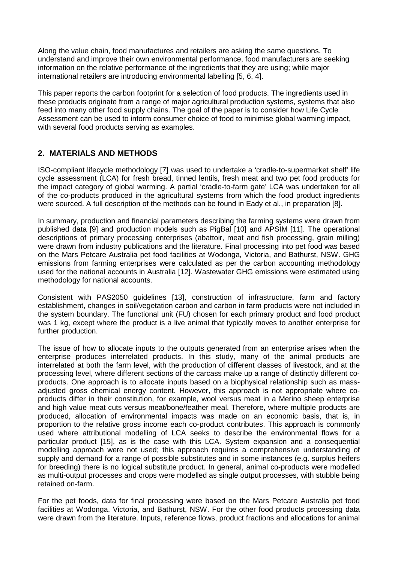Along the value chain, food manufactures and retailers are asking the same questions. To understand and improve their own environmental performance, food manufacturers are seeking information on the relative performance of the ingredients that they are using; while major international retailers are introducing environmental labelling [5, 6, 4].

This paper reports the carbon footprint for a selection of food products. The ingredients used in these products originate from a range of major agricultural production systems, systems that also feed into many other food supply chains. The goal of the paper is to consider how Life Cycle Assessment can be used to inform consumer choice of food to minimise global warming impact, with several food products serving as examples.

# **2. MATERIALS AND METHODS**

ISO-compliant lifecycle methodology [7] was used to undertake a 'cradle-to-supermarket shelf' life cycle assessment (LCA) for fresh bread, tinned lentils, fresh meat and two pet food products for the impact category of global warming. A partial 'cradle-to-farm gate' LCA was undertaken for all of the co-products produced in the agricultural systems from which the food product ingredients were sourced. A full description of the methods can be found in Eady et al., in preparation [8].

In summary, production and financial parameters describing the farming systems were drawn from published data [9] and production models such as PigBal [10] and APSIM [11]. The operational descriptions of primary processing enterprises (abattoir, meat and fish processing, grain milling) were drawn from industry publications and the literature. Final processing into pet food was based on the Mars Petcare Australia pet food facilities at Wodonga, Victoria, and Bathurst, NSW. GHG emissions from farming enterprises were calculated as per the carbon accounting methodology used for the national accounts in Australia [12]. Wastewater GHG emissions were estimated using methodology for national accounts.

Consistent with PAS2050 guidelines [13], construction of infrastructure, farm and factory establishment, changes in soil/vegetation carbon and carbon in farm products were not included in the system boundary. The functional unit (FU) chosen for each primary product and food product was 1 kg, except where the product is a live animal that typically moves to another enterprise for further production.

The issue of how to allocate inputs to the outputs generated from an enterprise arises when the enterprise produces interrelated products. In this study, many of the animal products are interrelated at both the farm level, with the production of different classes of livestock, and at the processing level, where different sections of the carcass make up a range of distinctly different coproducts. One approach is to allocate inputs based on a biophysical relationship such as massadjusted gross chemical energy content. However, this approach is not appropriate where coproducts differ in their constitution, for example, wool versus meat in a Merino sheep enterprise and high value meat cuts versus meat/bone/feather meal. Therefore, where multiple products are produced, allocation of environmental impacts was made on an economic basis, that is, in proportion to the relative gross income each co-product contributes. This approach is commonly used where attributional modelling of LCA seeks to describe the environmental flows for a particular product [15], as is the case with this LCA. System expansion and a consequential modelling approach were not used; this approach requires a comprehensive understanding of supply and demand for a range of possible substitutes and in some instances (e.g. surplus heifers for breeding) there is no logical substitute product. In general, animal co-products were modelled as multi-output processes and crops were modelled as single output processes, with stubble being retained on-farm.

For the pet foods, data for final processing were based on the Mars Petcare Australia pet food facilities at Wodonga, Victoria, and Bathurst, NSW. For the other food products processing data were drawn from the literature. Inputs, reference flows, product fractions and allocations for animal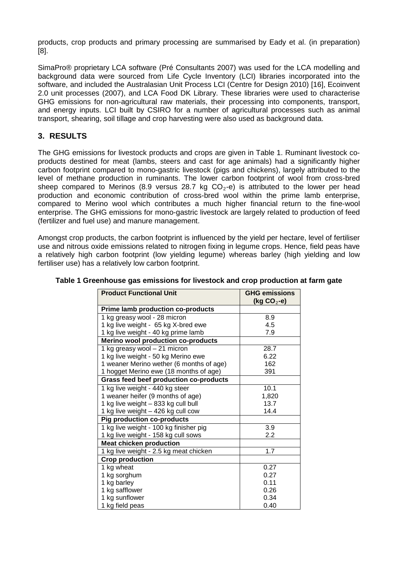products, crop products and primary processing are summarised by Eady et al. (in preparation) [8].

SimaPro® proprietary LCA software (Pré Consultants 2007) was used for the LCA modelling and background data were sourced from Life Cycle Inventory (LCI) libraries incorporated into the software, and included the Australasian Unit Process LCI (Centre for Design 2010) [16], Ecoinvent 2.0 unit processes (2007), and LCA Food DK Library. These libraries were used to characterise GHG emissions for non-agricultural raw materials, their processing into components, transport, and energy inputs. LCI built by CSIRO for a number of agricultural processes such as animal transport, shearing, soil tillage and crop harvesting were also used as background data.

# **3. RESULTS**

The GHG emissions for livestock products and crops are given in Table 1. Ruminant livestock coproducts destined for meat (lambs, steers and cast for age animals) had a significantly higher carbon footprint compared to mono-gastric livestock (pigs and chickens), largely attributed to the level of methane production in ruminants. The lower carbon footprint of wool from cross-bred sheep compared to Merinos (8.9 versus 28.7 kg  $CO<sub>2</sub>$ -e) is attributed to the lower per head production and economic contribution of cross-bred wool within the prime lamb enterprise, compared to Merino wool which contributes a much higher financial return to the fine-wool enterprise. The GHG emissions for mono-gastric livestock are largely related to production of feed (fertilizer and fuel use) and manure management.

Amongst crop products, the carbon footprint is influenced by the yield per hectare, level of fertiliser use and nitrous oxide emissions related to nitrogen fixing in legume crops. Hence, field peas have a relatively high carbon footprint (low yielding legume) whereas barley (high yielding and low fertiliser use) has a relatively low carbon footprint.

| <b>Product Functional Unit</b>                | <b>GHG emissions</b><br>(kg CO <sub>2</sub> -e) |  |
|-----------------------------------------------|-------------------------------------------------|--|
| <b>Prime lamb production co-products</b>      |                                                 |  |
| 1 kg greasy wool - 28 micron                  | 8.9                                             |  |
| 1 kg live weight - 65 kg X-bred ewe           | 4.5                                             |  |
| 1 kg live weight - 40 kg prime lamb           | 7.9                                             |  |
| <b>Merino wool production co-products</b>     |                                                 |  |
| 1 kg greasy wool - 21 micron                  | 28.7                                            |  |
| 1 kg live weight - 50 kg Merino ewe           | 6.22                                            |  |
| 1 weaner Merino wether (6 months of age)      | 162                                             |  |
| 1 hogget Merino ewe (18 months of age)        | 391                                             |  |
| <b>Grass feed beef production co-products</b> |                                                 |  |
| 1 kg live weight - 440 kg steer               | 10.1                                            |  |
| 1 weaner heifer (9 months of age)             | 1,820                                           |  |
| 1 kg live weight - 833 kg cull bull           | 13.7                                            |  |
| 1 kg live weight - 426 kg cull cow            | 14.4                                            |  |
| <b>Pig production co-products</b>             |                                                 |  |
| 1 kg live weight - 100 kg finisher pig        | 3.9                                             |  |
| 1 kg live weight - 158 kg cull sows           | 2.2                                             |  |
| <b>Meat chicken production</b>                |                                                 |  |
| 1 kg live weight - 2.5 kg meat chicken        | 1.7                                             |  |
| <b>Crop production</b>                        |                                                 |  |
| 1 kg wheat                                    | 0.27                                            |  |
| 1 kg sorghum                                  | 0.27                                            |  |
| 1 kg barley                                   | 0.11                                            |  |
| 1 kg safflower                                | 0.26                                            |  |
| 1 kg sunflower                                | 0.34                                            |  |
| 1 kg field peas                               | 0.40                                            |  |

## **Table 1 Greenhouse gas emissions for livestock and crop production at farm gate**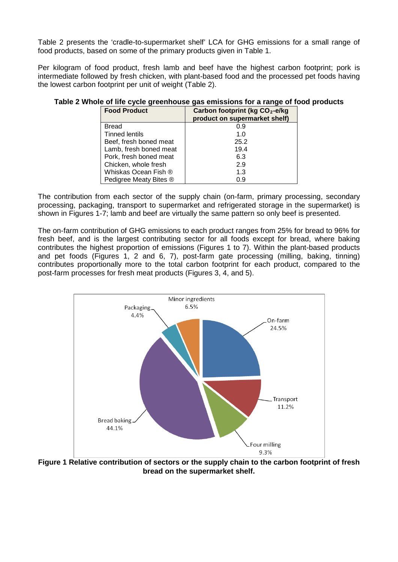Table 2 presents the 'cradle-to-supermarket shelf' LCA for GHG emissions for a small range of food products, based on some of the primary products given in Table 1.

Per kilogram of food product, fresh lamb and beef have the highest carbon footprint; pork is intermediate followed by fresh chicken, with plant-based food and the processed pet foods having the lowest carbon footprint per unit of weight (Table 2).

| <b>Food Product</b>    | Carbon footprint (kg $CO2$ -e/kg<br>product on supermarket shelf) |
|------------------------|-------------------------------------------------------------------|
| <b>Bread</b>           | 0.9                                                               |
| Tinned lentils         | 1.0                                                               |
| Beef, fresh boned meat | 25.2                                                              |
| Lamb, fresh boned meat | 19.4                                                              |
| Pork, fresh boned meat | 6.3                                                               |
| Chicken, whole fresh   | 2.9                                                               |
| Whiskas Ocean Fish ®   | 1.3                                                               |
| Pedigree Meaty Bites ® | 0.9                                                               |

#### **Table 2 Whole of life cycle greenhouse gas emissions for a range of food products**

The contribution from each sector of the supply chain (on-farm, primary processing, secondary processing, packaging, transport to supermarket and refrigerated storage in the supermarket) is shown in Figures 1-7; lamb and beef are virtually the same pattern so only beef is presented.

The on-farm contribution of GHG emissions to each product ranges from 25% for bread to 96% for fresh beef, and is the largest contributing sector for all foods except for bread, where baking contributes the highest proportion of emissions (Figures 1 to 7). Within the plant-based products and pet foods (Figures 1, 2 and 6, 7), post-farm gate processing (milling, baking, tinning) contributes proportionally more to the total carbon footprint for each product, compared to the post-farm processes for fresh meat products (Figures 3, 4, and 5).



**Figure 1 Relative contribution of sectors or the supply chain to the carbon footprint of fresh bread on the supermarket shelf.**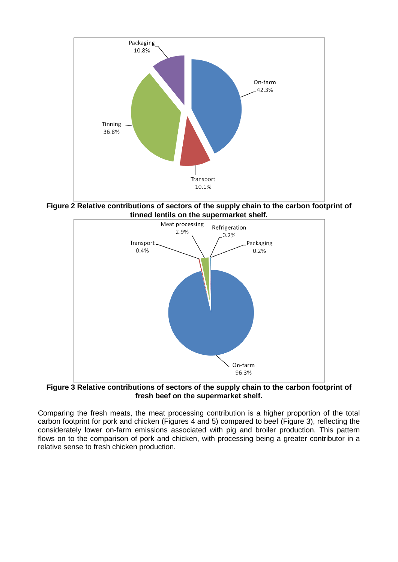

**Figure 2 Relative contributions of sectors of the supply chain to the carbon footprint of** 



**Figure 3 Relative contributions of sectors of the supply chain to the carbon footprint of fresh beef on the supermarket shelf.**

Comparing the fresh meats, the meat processing contribution is a higher proportion of the total carbon footprint for pork and chicken (Figures 4 and 5) compared to beef (Figure 3), reflecting the considerately lower on-farm emissions associated with pig and broiler production. This pattern flows on to the comparison of pork and chicken, with processing being a greater contributor in a relative sense to fresh chicken production.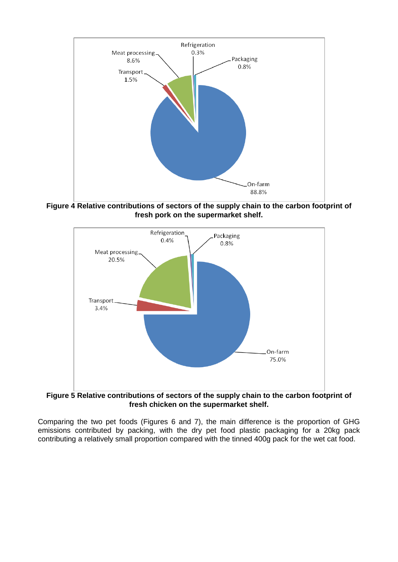

**Figure 4 Relative contributions of sectors of the supply chain to the carbon footprint of fresh pork on the supermarket shelf.**



**Figure 5 Relative contributions of sectors of the supply chain to the carbon footprint of fresh chicken on the supermarket shelf.**

Comparing the two pet foods (Figures 6 and 7), the main difference is the proportion of GHG emissions contributed by packing, with the dry pet food plastic packaging for a 20kg pack contributing a relatively small proportion compared with the tinned 400g pack for the wet cat food.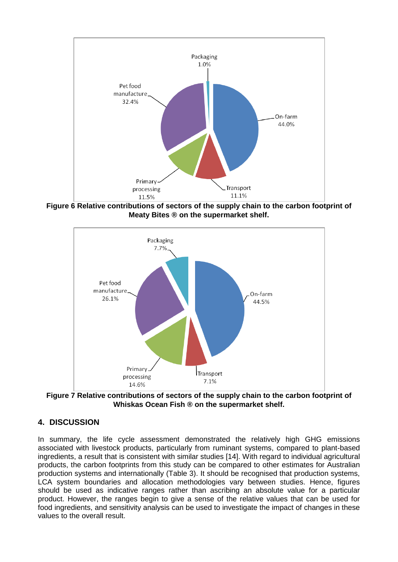

**Figure 6 Relative contributions of sectors of the supply chain to the carbon footprint of Meaty Bites ® on the supermarket shelf.**



**Figure 7 Relative contributions of sectors of the supply chain to the carbon footprint of Whiskas Ocean Fish ® on the supermarket shelf.**

## **4. DISCUSSION**

In summary, the life cycle assessment demonstrated the relatively high GHG emissions associated with livestock products, particularly from ruminant systems, compared to plant-based ingredients, a result that is consistent with similar studies [14]. With regard to individual agricultural products, the carbon footprints from this study can be compared to other estimates for Australian production systems and internationally (Table 3). It should be recognised that production systems, LCA system boundaries and allocation methodologies vary between studies. Hence, figures should be used as indicative ranges rather than ascribing an absolute value for a particular product. However, the ranges begin to give a sense of the relative values that can be used for food ingredients, and sensitivity analysis can be used to investigate the impact of changes in these values to the overall result.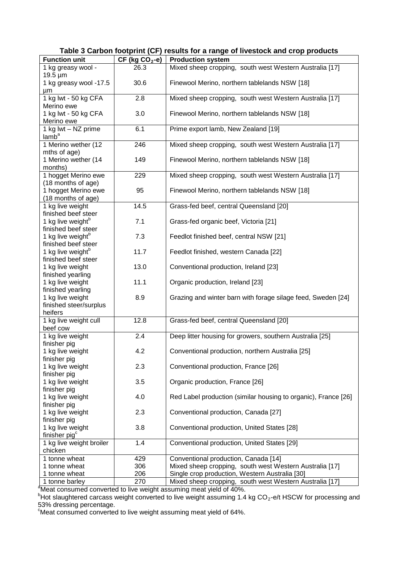**Table 3 Carbon footprint (CF) results for a range of livestock and crop products**

| <b>Function unit</b>                          | $CF (kg CO2-e)$ | <b>Production system</b>                                       |
|-----------------------------------------------|-----------------|----------------------------------------------------------------|
| 1 kg greasy wool -                            | 26.3            | Mixed sheep cropping, south west Western Australia [17]        |
| $19.5 \,\mathrm{\upmu m}$                     |                 |                                                                |
| 1 kg greasy wool -17.5                        | 30.6            | Finewool Merino, northern tablelands NSW [18]                  |
| μm                                            |                 |                                                                |
| 1 kg lwt - 50 kg CFA                          | 2.8             | Mixed sheep cropping, south west Western Australia [17]        |
| Merino ewe                                    |                 |                                                                |
| 1 kg lwt - 50 kg CFA                          | 3.0             | Finewool Merino, northern tablelands NSW [18]                  |
| Merino ewe                                    |                 |                                                                |
| 1 kg lwt - NZ prime                           | 6.1             | Prime export lamb, New Zealand [19]                            |
| lamb <sup>a</sup>                             | 246             |                                                                |
| 1 Merino wether (12<br>mths of age)           |                 | Mixed sheep cropping, south west Western Australia [17]        |
| 1 Merino wether (14                           | 149             | Finewool Merino, northern tablelands NSW [18]                  |
| months)                                       |                 |                                                                |
| 1 hogget Merino ewe                           | 229             | Mixed sheep cropping, south west Western Australia [17]        |
| (18 months of age)                            |                 |                                                                |
| 1 hogget Merino ewe                           | 95              | Finewool Merino, northern tablelands NSW [18]                  |
| (18 months of age)                            |                 |                                                                |
| 1 kg live weight                              | 14.5            | Grass-fed beef, central Queensland [20]                        |
| finished beef steer                           |                 |                                                                |
| 1 kg live weight <sup>b</sup>                 | 7.1             | Grass-fed organic beef, Victoria [21]                          |
| finished beef steer                           |                 |                                                                |
| 1 kg live weight <sup>b</sup>                 | 7.3             | Feedlot finished beef, central NSW [21]                        |
| finished beef steer                           |                 |                                                                |
| 1 kg live weight <sup>b</sup>                 | 11.7            | Feedlot finished, western Canada [22]                          |
| finished beef steer                           |                 |                                                                |
| 1 kg live weight                              | 13.0            | Conventional production, Ireland [23]                          |
| finished yearling                             |                 |                                                                |
| 1 kg live weight                              | 11.1            | Organic production, Ireland [23]                               |
| finished yearling                             | 8.9             |                                                                |
| 1 kg live weight<br>finished steer/surplus    |                 | Grazing and winter barn with forage silage feed, Sweden [24]   |
| heifers                                       |                 |                                                                |
| 1 kg live weight cull                         | 12.8            | Grass-fed beef, central Queensland [20]                        |
| beef cow                                      |                 |                                                                |
| 1 kg live weight                              | 2.4             | Deep litter housing for growers, southern Australia [25]       |
| finisher pig                                  |                 |                                                                |
| 1 kg live weight                              | 4.2             | Conventional production, northern Australia [25]               |
| finisher pig                                  |                 |                                                                |
| 1 kg live weight                              | 2.3             | Conventional production, France [26]                           |
| finisher pig                                  |                 |                                                                |
| 1 kg live weight                              | 3.5             | Organic production, France [26]                                |
| finisher pig                                  |                 |                                                                |
| 1 kg live weight                              | 4.0             | Red Label production (similar housing to organic), France [26] |
| finisher pig                                  |                 |                                                                |
| 1 kg live weight                              | 2.3             | Conventional production, Canada [27]                           |
| finisher pig                                  |                 |                                                                |
| 1 kg live weight<br>finisher pig <sup>c</sup> | 3.8             | Conventional production, United States [28]                    |
| 1 kg live weight broiler                      | 1.4             | Conventional production, United States [29]                    |
| chicken                                       |                 |                                                                |
| 1 tonne wheat                                 | 429             | Conventional production, Canada [14]                           |
| 1 tonne wheat                                 | 306             | Mixed sheep cropping, south west Western Australia [17]        |
| 1 tonne wheat                                 | 206             | Single crop production, Western Australia [30]                 |
| 1 tonne barley                                | 270             | Mixed sheep cropping, south west Western Australia [17]        |

1 tonne barley <sup>270</sup> Mixed sheep cropping, south west Western Australia [17] <sup>a</sup> Meat consumed converted to live weight assuming meat yield of 40%. b Hot slaughtered carcass weight converted to live weight assuming 1.4 kg CO2-e/t HSCW for processing and 53% dressing percentage.

<sup>c</sup>Meat consumed converted to live weight assuming meat yield of 64%.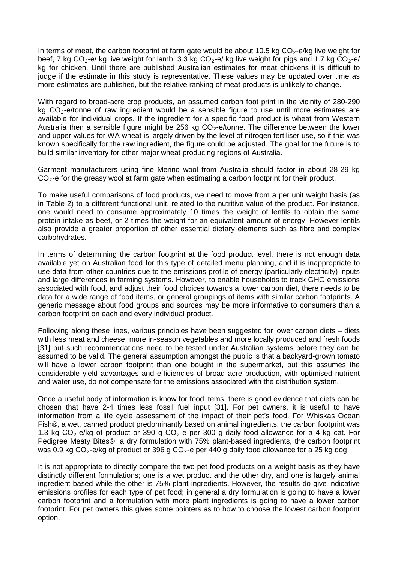In terms of meat, the carbon footprint at farm gate would be about 10.5 kg  $CO<sub>2</sub>$ -e/kg live weight for beef, 7 kg  $CO_2$ -e/ kg live weight for lamb, 3.3 kg  $CO_2$ -e/ kg live weight for pigs and 1.7 kg  $CO_2$ -e/ kg for chicken. Until there are published Australian estimates for meat chickens it is difficult to judge if the estimate in this study is representative. These values may be updated over time as more estimates are published, but the relative ranking of meat products is unlikely to change.

With regard to broad-acre crop products, an assumed carbon foot print in the vicinity of 280-290 kg  $CO<sub>2</sub>$ -e/tonne of raw ingredient would be a sensible figure to use until more estimates are available for individual crops. If the ingredient for a specific food product is wheat from Western Australia then a sensible figure might be 256 kg  $CO<sub>2</sub>$ -e/tonne. The difference between the lower and upper values for WA wheat is largely driven by the level of nitrogen fertiliser use, so if this was known specifically for the raw ingredient, the figure could be adjusted. The goal for the future is to build similar inventory for other major wheat producing regions of Australia.

Garment manufacturers using fine Merino wool from Australia should factor in about 28-29 kg CO<sub>2</sub>-e for the greasy wool at farm gate when estimating a carbon footprint for their product.

To make useful comparisons of food products, we need to move from a per unit weight basis (as in Table 2) to a different functional unit, related to the nutritive value of the product. For instance, one would need to consume approximately 10 times the weight of lentils to obtain the same protein intake as beef, or 2 times the weight for an equivalent amount of energy. However lentils also provide a greater proportion of other essential dietary elements such as fibre and complex carbohydrates.

In terms of determining the carbon footprint at the food product level, there is not enough data available yet on Australian food for this type of detailed menu planning, and it is inappropriate to use data from other countries due to the emissions profile of energy (particularly electricity) inputs and large differences in farming systems. However, to enable households to track GHG emissions associated with food, and adjust their food choices towards a lower carbon diet, there needs to be data for a wide range of food items, or general groupings of items with similar carbon footprints. A generic message about food groups and sources may be more informative to consumers than a carbon footprint on each and every individual product.

Following along these lines, various principles have been suggested for lower carbon diets – diets with less meat and cheese, more in-season vegetables and more locally produced and fresh foods [31] but such recommendations need to be tested under Australian systems before they can be assumed to be valid. The general assumption amongst the public is that a backyard-grown tomato will have a lower carbon footprint than one bought in the supermarket, but this assumes the considerable yield advantages and efficiencies of broad acre production, with optimised nutrient and water use, do not compensate for the emissions associated with the distribution system.

Once a useful body of information is know for food items, there is good evidence that diets can be chosen that have 2-4 times less fossil fuel input [31]. For pet owners, it is useful to have information from a life cycle assessment of the impact of their pet's food. For Whiskas Ocean Fish®, a wet, canned product predominantly based on animal ingredients, the carbon footprint was 1.3 kg CO<sub>2</sub>-e/kg of product or 390 g CO<sub>2</sub>-e per 300 g daily food allowance for a 4 kg cat. For Pedigree Meaty Bites®, a dry formulation with 75% plant-based ingredients, the carbon footprint was 0.9 kg  $CO<sub>2</sub>$ -e/kg of product or 396 g  $CO<sub>2</sub>$ -e per 440 g daily food allowance for a 25 kg dog.

It is not appropriate to directly compare the two pet food products on a weight basis as they have distinctly different formulations; one is a wet product and the other dry, and one is largely animal ingredient based while the other is 75% plant ingredients. However, the results do give indicative emissions profiles for each type of pet food; in general a dry formulation is going to have a lower carbon footprint and a formulation with more plant ingredients is going to have a lower carbon footprint. For pet owners this gives some pointers as to how to choose the lowest carbon footprint option.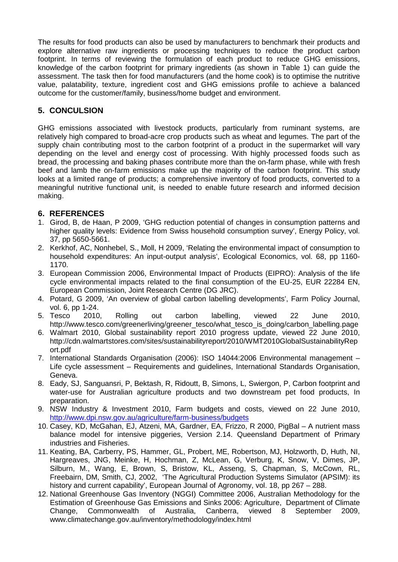The results for food products can also be used by manufacturers to benchmark their products and explore alternative raw ingredients or processing techniques to reduce the product carbon footprint. In terms of reviewing the formulation of each product to reduce GHG emissions, knowledge of the carbon footprint for primary ingredients (as shown in Table 1) can guide the assessment. The task then for food manufacturers (and the home cook) is to optimise the nutritive value, palatability, texture, ingredient cost and GHG emissions profile to achieve a balanced outcome for the customer/family, business/home budget and environment.

# **5. CONCULSION**

GHG emissions associated with livestock products, particularly from ruminant systems, are relatively high compared to broad-acre crop products such as wheat and legumes. The part of the supply chain contributing most to the carbon footprint of a product in the supermarket will vary depending on the level and energy cost of processing. With highly processed foods such as bread, the processing and baking phases contribute more than the on-farm phase, while with fresh beef and lamb the on-farm emissions make up the majority of the carbon footprint. This study looks at a limited range of products; a comprehensive inventory of food products, converted to a meaningful nutritive functional unit, is needed to enable future research and informed decision making.

## **6. REFERENCES**

- 1. Girod, B, de Haan, P 2009, 'GHG reduction potential of changes in consumption patterns and higher quality levels: Evidence from Swiss household consumption survey', Energy Policy, vol. 37, pp 5650-5661.
- 2. Kerkhof, AC, Nonhebel, S., Moll, H 2009, 'Relating the environmental impact of consumption to household expenditures: An input-output analysis', Ecological Economics, vol. 68, pp 1160- 1170.
- 3. European Commission 2006, Environmental Impact of Products (EIPRO): Analysis of the life cycle environmental impacts related to the final consumption of the EU-25, EUR 22284 EN, European Commission, Joint Research Centre (DG JRC).
- 4. Potard, G 2009, 'An overview of global carbon labelling developments', Farm Policy Journal,
- vol. 6, pp 1-24.<br>5. Tesco 2010. 5. Tesco 2010, Rolling out carbon labelling, viewed 22 June 2010, http://www.tesco.com/greenerliving/greener\_tesco/what\_tesco\_is\_doing/carbon\_labelling.page
- 6. Walmart 2010, Global sustainability report 2010 progress update, viewed 22 June 2010, http://cdn.walmartstores.com/sites/sustainabilityreport/2010/WMT2010GlobalSustainabilityRep ort.pdf
- 7. International Standards Organisation (2006): ISO 14044:2006 Environmental management Life cycle assessment – Requirements and guidelines, International Standards Organisation, Geneva.
- 8. Eady, SJ, Sanguansri, P, Bektash, R, Ridoutt, B, Simons, L, Swiergon, P, Carbon footprint and water-use for Australian agriculture products and two downstream pet food products, In preparation.
- 9. NSW Industry & Investment 2010, Farm budgets and costs, viewed on 22 June 2010, <http://www.dpi.nsw.gov.au/agriculture/farm-business/budgets>
- 10. Casey, KD, McGahan, EJ, Atzeni, MA, Gardner, EA, Frizzo, R 2000, PigBal A nutrient mass balance model for intensive piggeries, Version 2.14. Queensland Department of Primary industries and Fisheries.
- 11. Keating, BA, Carberry, PS, Hammer, GL, Probert, ME, Robertson, MJ, Holzworth, D, Huth, NI, Hargreaves, JNG, Meinke, H, Hochman, Z, McLean, G, Verburg, K, Snow, V, Dimes, JP, Silburn, M., Wang, E, Brown, S, Bristow, KL, Asseng, S, Chapman, S, McCown, RL, Freebairn, DM, Smith, CJ, 2002, 'The Agricultural Production Systems Simulator (APSIM): its history and current capability', European Journal of Agronomy, vol. 18, pp 267 – 288.
- 12. National Greenhouse Gas Inventory (NGGI) Committee 2006, Australian Methodology for the Estimation of Greenhouse Gas Emissions and Sinks 2006: Agriculture, Department of Climate<br>Change. Commonwealth of Australia. Canberra. viewed 8 September 2009. Change, Commonwealth of Australia, Canberra, viewed 8 September 2009, www.climatechange.gov.au/inventory/methodology/index.html